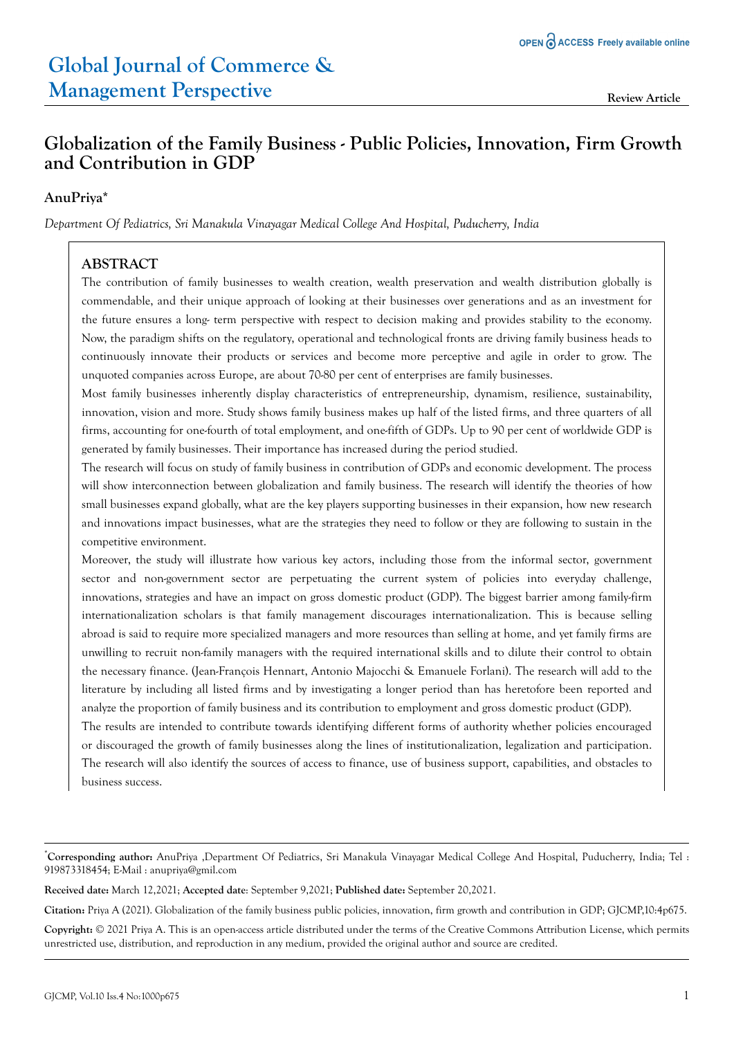# **Globalization of the Family Business - Public Policies, Innovation, Firm Growth and Contribution in GDP**

### **AnuPriya\***

*Department Of Pediatrics, Sri Manakula Vinayagar Medical College And Hospital, Puducherry, India*

### **ABSTRACT**

The contribution of family businesses to wealth creation, wealth preservation and wealth distribution globally is commendable, and their unique approach of looking at their businesses over generations and as an investment for the future ensures a long- term perspective with respect to decision making and provides stability to the economy. Now, the paradigm shifts on the regulatory, operational and technological fronts are driving family business heads to continuously innovate their products or services and become more perceptive and agile in order to grow. The unquoted companies across Europe, are about 70-80 per cent of enterprises are family businesses.

Most family businesses inherently display characteristics of entrepreneurship, dynamism, resilience, sustainability, innovation, vision and more. Study shows family business makes up half of the listed firms, and three quarters of all firms, accounting for one-fourth of total employment, and one-fifth of GDPs. Up to 90 per cent of worldwide GDP is generated by family businesses. Their importance has increased during the period studied.

The research will focus on study of family business in contribution of GDPs and economic development. The process will show interconnection between globalization and family business. The research will identify the theories of how small businesses expand globally, what are the key players supporting businesses in their expansion, how new research and innovations impact businesses, what are the strategies they need to follow or they are following to sustain in the competitive environment.

Moreover, the study will illustrate how various key actors, including those from the informal sector, government sector and non-government sector are perpetuating the current system of policies into everyday challenge, innovations, strategies and have an impact on gross domestic product (GDP). The biggest barrier among family-firm internationalization scholars is that family management discourages internationalization. This is because selling abroad is said to require more specialized managers and more resources than selling at home, and yet family firms are unwilling to recruit non-family managers with the required international skills and to dilute their control to obtain the necessary finance. (Jean-François Hennart, Antonio Majocchi & Emanuele Forlani). The research will add to the literature by including all listed firms and by investigating a longer period than has heretofore been reported and analyze the proportion of family business and its contribution to employment and gross domestic product (GDP). The results are intended to contribute towards identifying different forms of authority whether policies encouraged

or discouraged the growth of family businesses along the lines of institutionalization, legalization and participation. The research will also identify the sources of access to finance, use of business support, capabilities, and obstacles to business success.

**Received date:** March 12,2021; **Accepted date**: September 9,2021; **Published date:** September 20,2021.

**Citation:** Priya A (2021). Globalization of the family business public policies, innovation, firm growth and contribution in GDP; GJCMP,10:4p675.

**Copyright:** © 2021 Priya A. This is an open-access article distributed under the terms of the Creative Commons Attribution License, which permits unrestricted use, distribution, and reproduction in any medium, provided the original author and source are credited.

<sup>\*</sup>**Corresponding author:** AnuPriya ,Department Of Pediatrics, Sri Manakula Vinayagar Medical College And Hospital, Puducherry, India; Tel : 919873318454; E-Mail : anupriya@gmil.com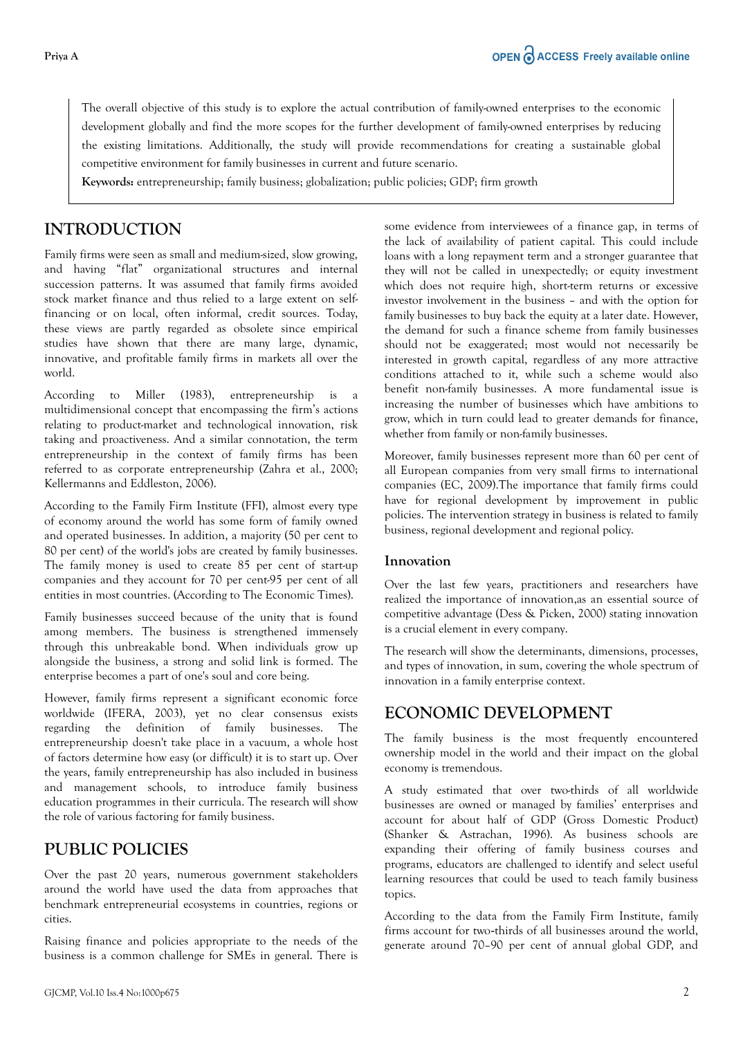The overall objective of this study is to explore the actual contribution of family-owned enterprises to the economic development globally and find the more scopes for the further development of family-owned enterprises by reducing the existing limitations. Additionally, the study will provide recommendations for creating a sustainable global competitive environment for family businesses in current and future scenario.

**Keywords:** entrepreneurship; family business; globalization; public policies; GDP; firm growth

### **INTRODUCTION**

Family firms were seen as small and medium-sized, slow growing, and having "flat" organizational structures and internal succession patterns. It was assumed that family firms avoided stock market finance and thus relied to a large extent on selffinancing or on local, often informal, credit sources. Today, these views are partly regarded as obsolete since empirical studies have shown that there are many large, dynamic, innovative, and profitable family firms in markets all over the world.

According to Miller (1983), entrepreneurship is a multidimensional concept that encompassing the firm's actions relating to product-market and technological innovation, risk taking and proactiveness. And a similar connotation, the term entrepreneurship in the context of family firms has been referred to as corporate entrepreneurship (Zahra et al., 2000; Kellermanns and Eddleston, 2006).

According to the Family Firm Institute (FFI), almost every type of economy around the world has some form of family owned and operated businesses. In addition, a majority (50 per cent to 80 per cent) of the world's jobs are created by family businesses. The family money is used to create 85 per cent of start-up companies and they account for 70 per cent-95 per cent of all entities in most countries. (According to The Economic Times).

Family businesses succeed because of the unity that is found among members. The business is strengthened immensely through this unbreakable bond. When individuals grow up alongside the business, a strong and solid link is formed. The enterprise becomes a part of one's soul and core being.

However, family firms represent a significant economic force worldwide (IFERA, 2003), yet no clear consensus exists regarding the definition of family businesses. The entrepreneurship doesn't take place in a vacuum, a whole host of factors determine how easy (or difficult) it is to start up. Over the years, family entrepreneurship has also included in business and management schools, to introduce family business education programmes in their curricula. The research will show the role of various factoring for family business.

### **PUBLIC POLICIES**

Over the past 20 years, numerous government stakeholders around the world have used the data from approaches that benchmark entrepreneurial ecosystems in countries, regions or cities.

Raising finance and policies appropriate to the needs of the business is a common challenge for SMEs in general. There is some evidence from interviewees of a finance gap, in terms of the lack of availability of patient capital. This could include loans with a long repayment term and a stronger guarantee that they will not be called in unexpectedly; or equity investment which does not require high, short-term returns or excessive investor involvement in the business – and with the option for family businesses to buy back the equity at a later date. However, the demand for such a finance scheme from family businesses should not be exaggerated; most would not necessarily be interested in growth capital, regardless of any more attractive conditions attached to it, while such a scheme would also benefit non-family businesses. A more fundamental issue is increasing the number of businesses which have ambitions to grow, which in turn could lead to greater demands for finance, whether from family or non-family businesses.

Moreover, family businesses represent more than 60 per cent of all European companies from very small firms to international companies (EC, 2009).The importance that family firms could have for regional development by improvement in public policies. The intervention strategy in business is related to family business, regional development and regional policy.

#### **Innovation**

Over the last few years, practitioners and researchers have realized the importance of innovation,as an essential source of competitive advantage (Dess & Picken, 2000) stating innovation is a crucial element in every company.

The research will show the determinants, dimensions, processes, and types of innovation, in sum, covering the whole spectrum of innovation in a family enterprise context.

### **ECONOMIC DEVELOPMENT**

The family business is the most frequently encountered ownership model in the world and their impact on the global economy is tremendous.

A study estimated that over two-thirds of all worldwide businesses are owned or managed by families' enterprises and account for about half of GDP (Gross Domestic Product) (Shanker & Astrachan, 1996). As business schools are expanding their offering of family business courses and programs, educators are challenged to identify and select useful learning resources that could be used to teach family business topics.

According to the data from the Family Firm Institute, family firms account for two-thirds of all businesses around the world, generate around 70–90 per cent of annual global GDP, and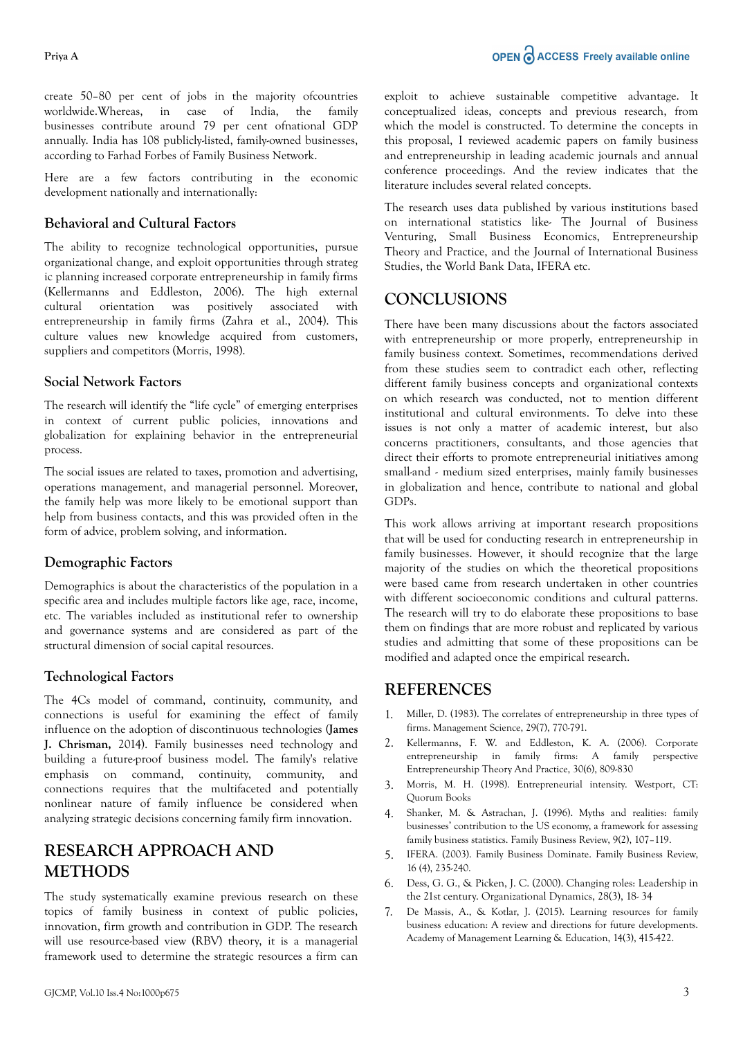create 50–80 per cent of jobs in the majority ofcountries worldwide.Whereas, in case of India, the family businesses contribute around 79 per cent ofnational GDP annually. India has 108 publicly-listed, family-owned businesses, according to Farhad Forbes of Family Business Network.

Here are a few factors contributing in the economic development nationally and internationally:

### **Behavioral and Cultural Factors**

The ability to recognize technological opportunities, pursue organizational change, and exploit opportunities through strateg ic planning increased corporate entrepreneurship in family firms (Kellermanns and Eddleston, 2006). The high external cultural orientation was positively associated with entrepreneurship in family firms (Zahra et al., 2004). This culture values new knowledge acquired from customers, suppliers and competitors (Morris, 1998).

#### **Social Network Factors**

The research will identify the "life cycle" of emerging enterprises in context of current public policies, innovations and globalization for explaining behavior in the entrepreneurial process.

The social issues are related to taxes, promotion and advertising, operations management, and managerial personnel. Moreover, the family help was more likely to be emotional support than help from business contacts, and this was provided often in the form of advice, problem solving, and information.

#### **Demographic Factors**

Demographics is about the characteristics of the population in a specific area and includes multiple factors like age, race, income, etc. The variables included as institutional refer to ownership and governance systems and are considered as part of the structural dimension of social capital resources.

#### **Technological Factors**

The 4Cs model of command, continuity, community, and connections is useful for examining the effect of family influence on the adoption of discontinuous technologies **(James J. Chrisman,** 2014). Family businesses need technology and building a future-proof business model. The family's relative emphasis on command, continuity, community, and connections requires that the multifaceted and potentially nonlinear nature of family influence be considered when analyzing strategic decisions concerning family firm innovation.

## **RESEARCH APPROACH AND METHODS**

The study systematically examine previous research on these topics of family business in context of public policies, innovation, firm growth and contribution in GDP. The research will use resource-based view (RBV) theory, it is a managerial framework used to determine the strategic resources a firm can exploit to achieve sustainable competitive advantage. It conceptualized ideas, concepts and previous research, from which the model is constructed. To determine the concepts in this proposal, I reviewed academic papers on family business and entrepreneurship in leading academic journals and annual conference proceedings. And the review indicates that the literature includes several related concepts.

The research uses data published by various institutions based on international statistics like- The Journal of Business Venturing, Small Business Economics, Entrepreneurship Theory and Practice, and the Journal of International Business Studies, the World Bank Data, IFERA etc.

### **CONCLUSIONS**

There have been many discussions about the factors associated with entrepreneurship or more properly, entrepreneurship in family business context. Sometimes, recommendations derived from these studies seem to contradict each other, reflecting different family business concepts and organizational contexts on which research was conducted, not to mention different institutional and cultural environments. To delve into these issues is not only a matter of academic interest, but also concerns practitioners, consultants, and those agencies that direct their efforts to promote entrepreneurial initiatives among small-and - medium sized enterprises, mainly family businesses in globalization and hence, contribute to national and global GDPs.

This work allows arriving at important research propositions that will be used for conducting research in entrepreneurship in family businesses. However, it should recognize that the large majority of the studies on which the theoretical propositions were based came from research undertaken in other countries with different socioeconomic conditions and cultural patterns. The research will try to do elaborate these propositions to base them on findings that are more robust and replicated by various studies and admitting that some of these propositions can be modified and adapted once the empirical research.

### **REFERENCES**

- 1. [Miller, D. \(1983\). The correlates of entrepreneurship in three types of](https://scholar.google.com/scholar?hl=en&as_sdt=0%2C5&q=Miller%2C+D.+%281983%29.+The+correlates+of+entrepreneurship+in+three+types+of+firms.+Management+Science%2C+29%287%29%2C+770-791.&btnG=) [firms. Management Science, 29\(7\), 770-791.](https://scholar.google.com/scholar?hl=en&as_sdt=0%2C5&q=Miller%2C+D.+%281983%29.+The+correlates+of+entrepreneurship+in+three+types+of+firms.+Management+Science%2C+29%287%29%2C+770-791.&btnG=)
- 2. [Kellermanns, F. W. and Eddleston, K. A. \(2006\). Corporate](https://scholar.google.com/scholar?hl=en&as_sdt=0%2C5&q=Kellermanns%2C+F.+W.+and+Eddleston%2C+K.+A.+%282006%29.+Corporate+entrepreneurship+in+family+firms%3A+A+family+perspective++Entrepreneurship+Theory+And+Practice%2C+30%286%29%2C+809-830&btnG=)  $entrepresenting$  in family firms:  $A$  family [Entrepreneurship Theory And Practice, 30\(6\), 809-830](https://scholar.google.com/scholar?hl=en&as_sdt=0%2C5&q=Kellermanns%2C+F.+W.+and+Eddleston%2C+K.+A.+%282006%29.+Corporate+entrepreneurship+in+family+firms%3A+A+family+perspective++Entrepreneurship+Theory+And+Practice%2C+30%286%29%2C+809-830&btnG=)
- 3. [Morris, M. H. \(1998\). Entrepreneurial intensity. Westport, CT:](https://scholar.google.com/scholar?hl=en&as_sdt=0%2C5&q=Morris%2C+M.+H.+%281998%29.+Entrepreneurial+intensity.+Westport%2C+CT%3A+Quorum+Books&btnG=) [Quorum Books](https://scholar.google.com/scholar?hl=en&as_sdt=0%2C5&q=Morris%2C+M.+H.+%281998%29.+Entrepreneurial+intensity.+Westport%2C+CT%3A+Quorum+Books&btnG=)
- 4. [Shanker, M. & Astrachan, J. \(1996\). Myths and realities: family](https://scholar.google.com/scholar?hl=en&as_sdt=0%2C5&q=Shanker%2C+M.+%26+Astrachan%2C+J.+%281996%29.+Myths+and+realities%3A+family+businesses%E2%80%99+contribution+to+the+US+economy%2C+a+framework+for+assessing+family+business+statistics.+Family+Business+Review%2C+9%282%29%2C+107%E2%80%93119.&btnG=) [businesses' contribution to the US economy, a framework for assessing](https://scholar.google.com/scholar?hl=en&as_sdt=0%2C5&q=Shanker%2C+M.+%26+Astrachan%2C+J.+%281996%29.+Myths+and+realities%3A+family+businesses%E2%80%99+contribution+to+the+US+economy%2C+a+framework+for+assessing+family+business+statistics.+Family+Business+Review%2C+9%282%29%2C+107%E2%80%93119.&btnG=) [family business statistics. Family Business Review, 9\(2\), 107–119.](https://scholar.google.com/scholar?hl=en&as_sdt=0%2C5&q=Shanker%2C+M.+%26+Astrachan%2C+J.+%281996%29.+Myths+and+realities%3A+family+businesses%E2%80%99+contribution+to+the+US+economy%2C+a+framework+for+assessing+family+business+statistics.+Family+Business+Review%2C+9%282%29%2C+107%E2%80%93119.&btnG=)
- 5. [IFERA. \(2003\). Family Business Dominate. Family Business Review,](https://scholar.google.com/scholar?hl=en&as_sdt=0%2C5&q=IFERA.+%282003%29.+Family+Business+Dominate.+Family+Business+Review%2C+16+%284%29%2C+235-240.&btnG=) [16 \(4\), 235-240.](https://scholar.google.com/scholar?hl=en&as_sdt=0%2C5&q=IFERA.+%282003%29.+Family+Business+Dominate.+Family+Business+Review%2C+16+%284%29%2C+235-240.&btnG=)
- 6. Dess, G. G., & Picken, J. C. (2000). Changing roles: Leadership in the 21st century. Organizational Dynamics, 28(3), 18- 34
- 7. [De Massis, A., & Kotlar, J. \(2015\). Learning resources for family](https://scholar.google.com/scholar?hl=en&as_sdt=0%2C5&q=De+Massis%2C+A.%2C+%26+Kotlar%2C+J.+%282015%29.+Learning+resources+for+family+business+education%3A+A+review+and+directions+for+future+developments.+Academy+of+Management+Learning+%26+Education%2C+14%283%29%2C+415-422.&btnG=) [business education: A review and directions for future developments.](https://scholar.google.com/scholar?hl=en&as_sdt=0%2C5&q=De+Massis%2C+A.%2C+%26+Kotlar%2C+J.+%282015%29.+Learning+resources+for+family+business+education%3A+A+review+and+directions+for+future+developments.+Academy+of+Management+Learning+%26+Education%2C+14%283%29%2C+415-422.&btnG=) [Academy of Management Learning & Education, 14\(3\), 415-422.](https://scholar.google.com/scholar?hl=en&as_sdt=0%2C5&q=De+Massis%2C+A.%2C+%26+Kotlar%2C+J.+%282015%29.+Learning+resources+for+family+business+education%3A+A+review+and+directions+for+future+developments.+Academy+of+Management+Learning+%26+Education%2C+14%283%29%2C+415-422.&btnG=)